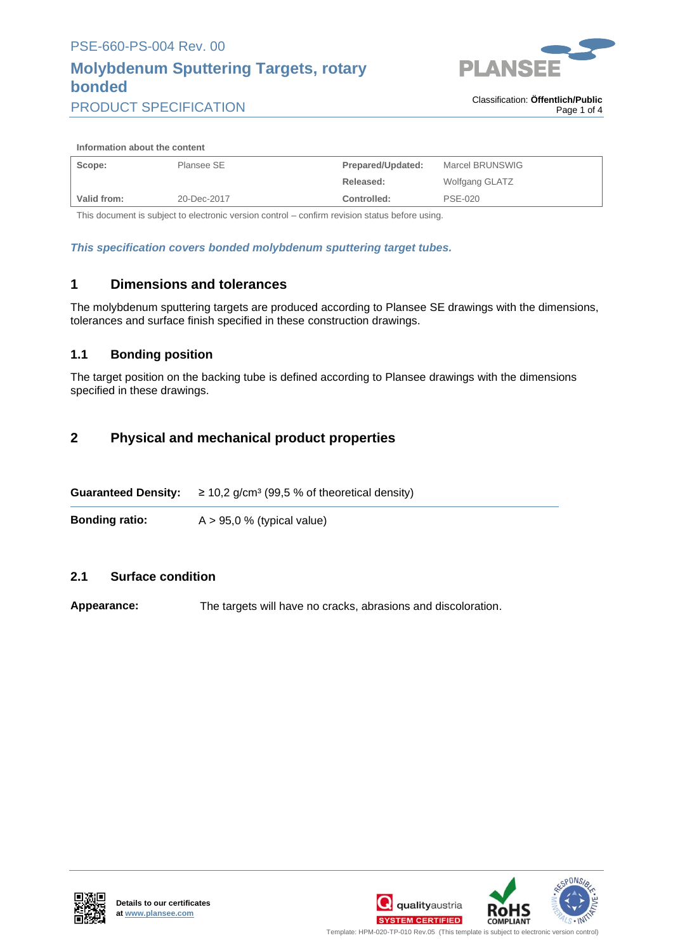# **Molybdenum Sputtering Targets, rotary bonded**



PRODUCT SPECIFICATION

#### **Information about the content**

| Scope:      | Plansee SE  | Marcel BRUNSWIG<br>Prepared/Updated: |                |
|-------------|-------------|--------------------------------------|----------------|
|             |             | Released:                            | Wolfgang GLATZ |
| Valid from: | 20-Dec-2017 | Controlled:                          | PSE-020        |

This document is subject to electronic version control – confirm revision status before using.

*This specification covers bonded molybdenum sputtering target tubes.*

#### **1 Dimensions and tolerances**

The molybdenum sputtering targets are produced according to Plansee SE drawings with the dimensions, tolerances and surface finish specified in these construction drawings.

#### **1.1 Bonding position**

The target position on the backing tube is defined according to Plansee drawings with the dimensions specified in these drawings.

#### **2 Physical and mechanical product properties**

**Guaranteed Density:**  $\geq 10.2$  g/cm<sup>3</sup> (99.5 % of theoretical density)

**Bonding ratio:** A > 95,0 % (typical value)

#### **2.1 Surface condition**

**Appearance:** The targets will have no cracks, abrasions and discoloration.





Template: HPM-020-TP-010 Rev.05 (This template is subject to electronic version control) .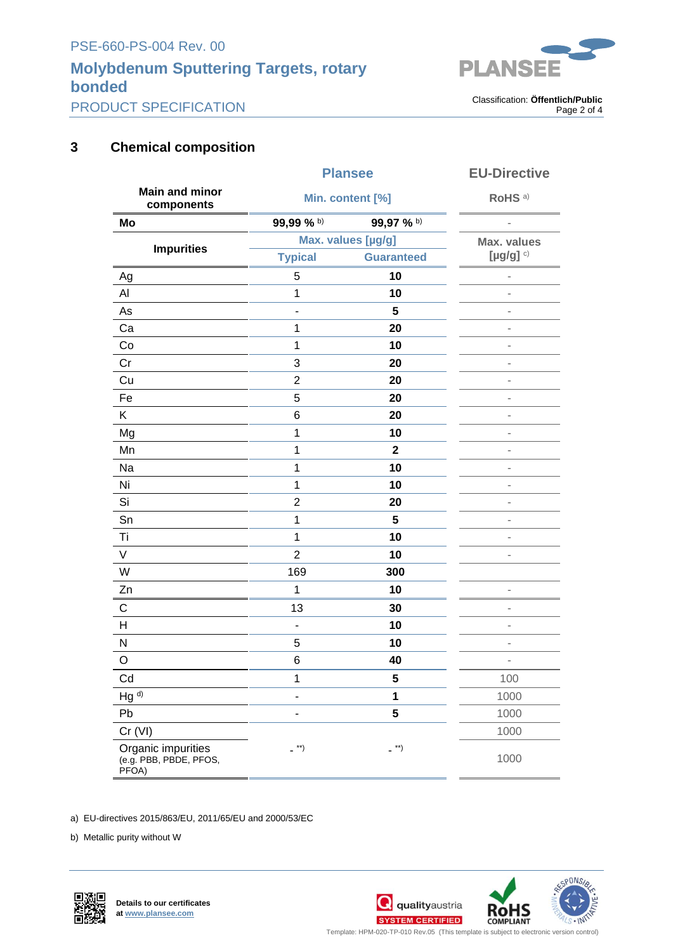# **Molybdenum Sputtering Targets, rotary bonded**



PRODUCT SPECIFICATION

. Classification: **Öffentlich/Public** Page 2 of 4

### **3 Chemical composition**

|                                                       | <b>Plansee</b><br>Min. content [%] |                         | <b>EU-Directive</b><br>RoHS <sup>a)</sup> |
|-------------------------------------------------------|------------------------------------|-------------------------|-------------------------------------------|
| <b>Main and minor</b><br>components                   |                                    |                         |                                           |
| Mo                                                    | 99,99 % b)                         | 99,97 % b)              |                                           |
| <b>Impurities</b>                                     | Max. values [µg/g]                 |                         | <b>Max. values</b>                        |
|                                                       | <b>Typical</b>                     | <b>Guaranteed</b>       | [ $\mu$ g/g] $c)$                         |
| Ag                                                    | 5                                  | 10                      |                                           |
| Al                                                    | 1                                  | 10                      |                                           |
| As                                                    | -                                  | 5                       |                                           |
| Ca                                                    | 1                                  | 20                      | i.                                        |
| Co                                                    | 1                                  | 10                      | $\overline{a}$                            |
| Cr                                                    | 3                                  | 20                      | $\overline{a}$                            |
| Cu                                                    | $\overline{c}$                     | 20                      | $\overline{a}$                            |
| Fe                                                    | 5                                  | 20                      | i.                                        |
| Κ                                                     | 6                                  | 20                      | $\overline{a}$                            |
| Mg                                                    | $\mathbf 1$                        | 10                      | $\overline{a}$                            |
| Mn                                                    | $\mathbf 1$                        | $\overline{\mathbf{2}}$ | $\overline{\phantom{a}}$                  |
| Na                                                    | 1                                  | 10                      | $\overline{a}$                            |
| Ni                                                    | 1                                  | 10                      | $\blacksquare$                            |
| Si                                                    | $\overline{2}$                     | 20                      | $\overline{\phantom{m}}$                  |
| Sn                                                    | 1                                  | 5                       | i.                                        |
| Τi                                                    | 1                                  | 10                      | $\blacksquare$                            |
| V                                                     | $\overline{2}$                     | 10                      |                                           |
| W                                                     | 169                                | 300                     |                                           |
| Zn                                                    | 1                                  | 10                      | ÷,                                        |
| $\mathsf C$                                           | 13                                 | 30                      | i.                                        |
| Н                                                     | $\blacksquare$                     | 10                      | $\overline{a}$                            |
| $\mathsf{N}$                                          | 5                                  | 10                      | $\blacksquare$                            |
| O                                                     | 6                                  | 40                      | $\blacksquare$                            |
| Cd                                                    | 1                                  | 5                       | 100                                       |
| Hg <sup>d)</sup>                                      | ۰                                  | 1                       | 1000                                      |
| Pb                                                    | ä,                                 | $\overline{\mathbf{5}}$ | 1000                                      |
| Cr (VI)                                               |                                    |                         | 1000                                      |
| Organic impurities<br>(e.g. PBB, PBDE, PFOS,<br>PFOA) | $\overline{\phantom{a}}^{**}$      | $-$ **)                 | 1000                                      |

a) EU-directives 2015/863/EU, 2011/65/EU and 2000/53/EC

b) Metallic purity without W





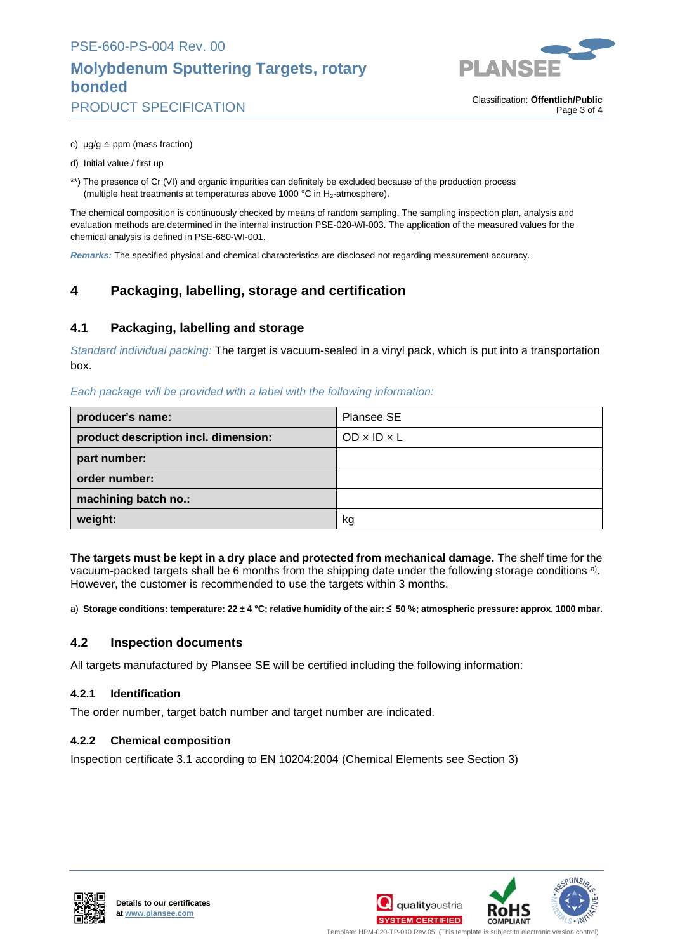## **Molybdenum Sputtering Targets, rotary bonded**



PRODUCT SPECIFICATION

. Classification: **Öffentlich/Public** Page 3 of 4

- c)  $\mu$ g/g  $\triangleq$  ppm (mass fraction)
- d) Initial value / first up
- \*\*) The presence of Cr (VI) and organic impurities can definitely be excluded because of the production process (multiple heat treatments at temperatures above 1000 °C in  $H_2$ -atmosphere).

The chemical composition is continuously checked by means of random sampling. The sampling inspection plan, analysis and evaluation methods are determined in the internal instruction PSE-020-WI-003. The application of the measured values for the chemical analysis is defined in PSE-680-WI-001.

*Remarks:* The specified physical and chemical characteristics are disclosed not regarding measurement accuracy.

### **4 Packaging, labelling, storage and certification**

#### **4.1 Packaging, labelling and storage**

*Standard individual packing:* The target is vacuum-sealed in a vinyl pack, which is put into a transportation box.

*Each package will be provided with a label with the following information:*

| producer's name:                     | Plansee SE              |
|--------------------------------------|-------------------------|
| product description incl. dimension: | $OD \times ID \times L$ |
| part number:                         |                         |
| order number:                        |                         |
| machining batch no.:                 |                         |
| weight:                              | kg                      |

**The targets must be kept in a dry place and protected from mechanical damage.** The shelf time for the vacuum-packed targets shall be 6 months from the shipping date under the following storage conditions <sup>a)</sup>. However, the customer is recommended to use the targets within 3 months.

a) **Storage conditions: temperature: 22 ± 4 °C; relative humidity of the air: ≤ 50 %; atmospheric pressure: approx. 1000 mbar.**

#### **4.2 Inspection documents**

All targets manufactured by Plansee SE will be certified including the following information:

#### **4.2.1 Identification**

The order number, target batch number and target number are indicated.

#### **4.2.2 Chemical composition**

Inspection certificate 3.1 according to EN 10204:2004 (Chemical Elements see Section 3)